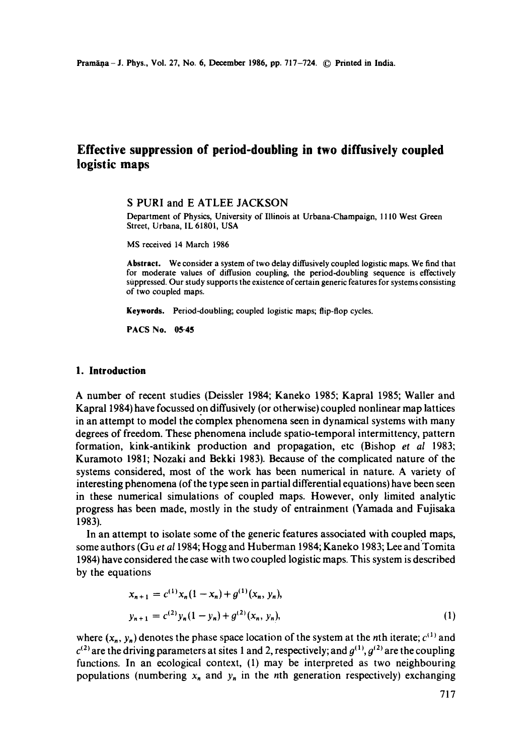# **Effective suppression of period-doubling in two diffusively coupled logistic maps**

### S PURI and E ATLEE JACKSON

Department of Physics, University of Illinois at Urbana-Champaign, 1110 West Green Street, Urbana, IL 61801, USA

MS received 14 March 1986

**Abstract.** We consider a system of two delay diffusively coupled logistic maps. We find that for moderate values of diffusion coupling, the period-doubling sequence is effectively suppressed. Our study supports the existence of certain generic features for systems consisting of two coupled maps.

**Keywords.** Period-doubling; coupled logistic maps; flip-flop cycles.

**PACS No. 05-45** 

### **1. Introduction**

A number of recent studies (Deissler 1984; Kaneko 1985; Kapral 1985; Waller and Kapral 1984) have focussed on diffusively (or otherwise)coupled nonlinear map lattices in an attempt to model the complex phenomena seen in dynamical systems with many degrees of freedom. These phenomena include spatio-temporal intermittency, pattern formation, kink-antikink production and propagation, etc (Bishop *et al* 1983; Kuramoto 1981; Nozaki and Bekki 1983). Because of the complicated nature of the systems considered, most of the work has been numerical in nature. A variety of interesting phenomena (of the type seen in partial differential equations) have been seen in these numerical simulations of coupled maps. However, only limited analytic progress has been made, mostly in the study of entrainment (Yamada and Fujisaka 1983).

In an attempt to isolate some of the generic features associated with coupled maps, some authors (Gu *et al* 1984; Hogg and Huberman 1984; Kaneko 1983; Lee and Tomita 1984) have considered the case with two coupled logistic maps. This system is described by the equations

$$
x_{n+1} = c^{(1)}x_n(1-x_n) + g^{(1)}(x_n, y_n),
$$
  
\n
$$
y_{n+1} = c^{(2)}y_n(1-y_n) + g^{(2)}(x_n, y_n),
$$
\n(1)

where  $(x_n, y_n)$  denotes the phase space location of the system at the nth iterate;  $c^{(1)}$  and  $c^{(2)}$  are the driving parameters at sites 1 and 2, respectively; and  $g^{(1)}$ ,  $g^{(2)}$  are the coupling functions. In an ecological context, (1) may be interpreted as two neighbouring populations (numbering  $x_n$  and  $y_n$  in the nth generation respectively) exchanging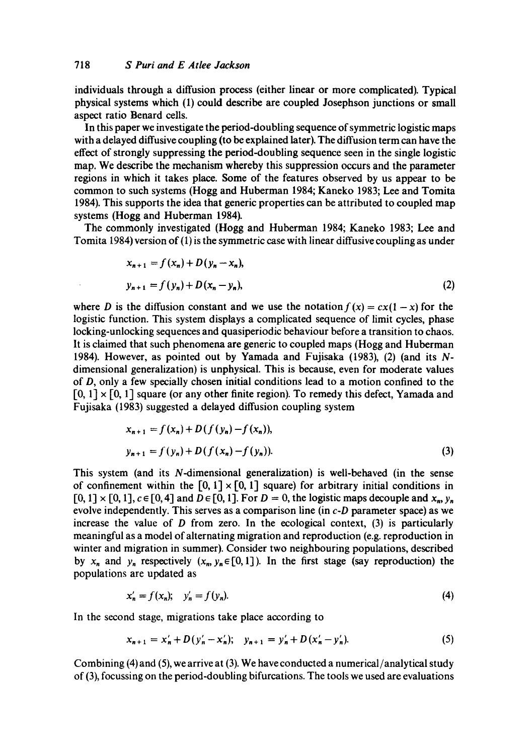individuals through a diffusion process (either linear or more complicated). Typical physical systems which (1) could describe are coupled Josephson junctions or small aspect ratio Benard cells.

In this paper we investigate the period-doubling sequence of symmetric logistic maps with a delayed diffusive coupling (to be explained later). The diffusion term can have the effect of strongly suppressing the period-doubling sequence seen in the single logistic map. We describe the mechanism whereby this suppression occurs and the parameter regions in which it takes place. Some of the features observed by us appear to be common to such systems (Hogg and Huberman 1984; Kaneko 1983; Lee and Tomita 1984). This supports the idea that generic properties can be attributed to coupled map systems (Hogg and Huberman 1984).

The commonly investigated (Hogg and Huberman 1984; Kaneko 1983; Lee and Tomita 1984) version of (1) is the symmetric case with linear diffusive coupling as under

$$
x_{n+1} = f(x_n) + D(y_n - x_n),
$$
  
\n
$$
y_{n+1} = f(y_n) + D(x_n - y_n),
$$
\n(2)

where D is the diffusion constant and we use the notation  $f(x) = cx(1-x)$  for the logistic function. This system displays a complicated sequence of limit cycles, phase locking-unlocking sequences and quasiperiodic behaviour before a transition to chaos. It is claimed that such phenomena are generic to coupled maps (Hogg and Huberman 1984). However, as pointed out by Yamada and Fujisaka (1983), (2) (and its Ndimensional generalization) is unphysieal. This is because, even for moderate values of D, only a few specially chosen initial conditions lead to a motion confined to the  $[0, 1] \times [0, 1]$  square (or any other finite region). To remedy this defect, Yamada and Fujisaka (1983) suggested a delayed diffusion coupling system

$$
x_{n+1} = f(x_n) + D(f(y_n) - f(x_n)),
$$
  
\n
$$
y_{n+1} = f(y_n) + D(f(x_n) - f(y_n)).
$$
\n(3)

This system (and its N-dimensional generalization) is well-behaved (in the sense of confinement within the  $[0, 1] \times [0, 1]$  square) for arbitrary initial conditions in  $[0, 1] \times [0, 1]$ ,  $c \in [0, 4]$  and  $D \in [0, 1]$ . For  $D = 0$ , the logistic maps decouple and  $x_n$ ,  $y_n$ evolve independently. This serves as a comparison line (in *c-D* parameter space) as we increase the value of  $D$  from zero. In the ecological context,  $(3)$  is particularly meaningful as a model of alternating migration and reproduction (e.g. reproduction in winter and migration in summer). Consider two neighbouring populations, described by  $x_n$  and  $y_n$  respectively  $(x_n, y_n \in [0, 1])$ . In the first stage (say reproduction) the populations are updated as

$$
x'_n = f(x_n); \quad y'_n = f(y_n).
$$
 (4)

In the second stage, migrations take place according to

$$
x_{n+1} = x'_n + D(y'_n - x'_n); \quad y_{n+1} = y'_n + D(x'_n - y'_n). \tag{5}
$$

Combining (4) and (5), we arrive at (3). We have conducted a numerical/analytical study of (3), focussing on the period-doubling bifurcations. The tools we used are evaluations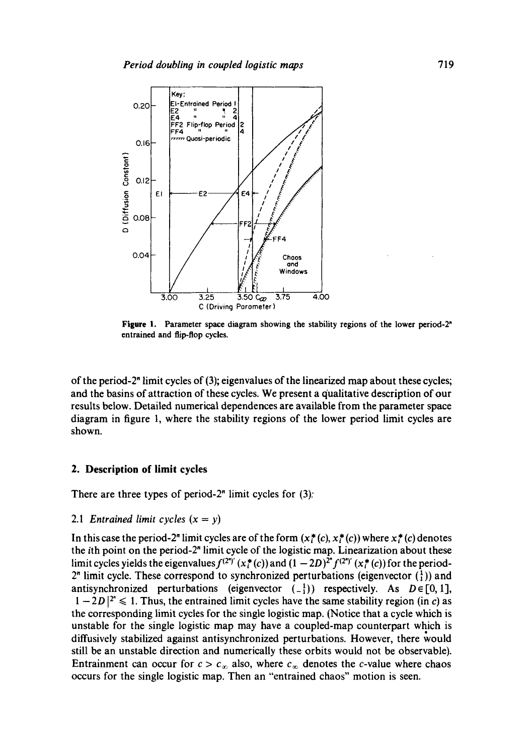

**Figure 1.** Parameter space diagram showing the stability regions of the lower period-2<sup>n</sup> entrained and flip-flop cycles.

of the period-2" limit cycles of (3); eigenvalues of the linearized map about these cycles; and the basins of attraction of these cycles. We present a qualitative description of our results below. Detailed numerical dependences are available from the parameter space diagram in figure 1, where the stability regions of the lower period limit cycles are shown.

## **2. Description of limit cycles**

There are three types of period- $2<sup>n</sup>$  limit cycles for  $(3)$ :

#### 2.1 *Entrained limit cycles*  $(x = y)$

In this case the period-2<sup>n</sup> limit cycles are of the form  $(x_i^*(c), x_i^*(c))$  where  $x_i^*(c)$  denotes the ith point on the period-2" limit cycle of the logistic map. Linearization about these limit cycles yields the eigenvalues  $f^{(2^n)'}(x^*(c))$  and  $(1-2D)^{2^n}f^{(2^n)'}(x^*(c))$  for the period- $2<sup>n</sup>$  limit cycle. These correspond to synchronized perturbations (eigenvector  $\binom{1}{1}$ ) and antisynchronized perturbations (eigenvector  $(-1)$ ) respectively. As  $D \in [0,1]$ ,  $1-2D$  |<sup>2"</sup>  $\leq 1$ . Thus, the entrained limit cycles have the same stability region (in c) as the corresponding limit cycles for the single logistic map. (Notice that a cycle which is unstable for the single logistic map may have a coupled-map counterpart which is diffusively stabilized against antisynchronized perturbations. However, there would still be an unstable direction and numerically these orbits would not be observable). Entrainment can occur for  $c > c_{\infty}$  also, where  $c_{\infty}$  denotes the c-value where chaos occurs for the single logistic map. Then an "entrained chaos" motion is seen.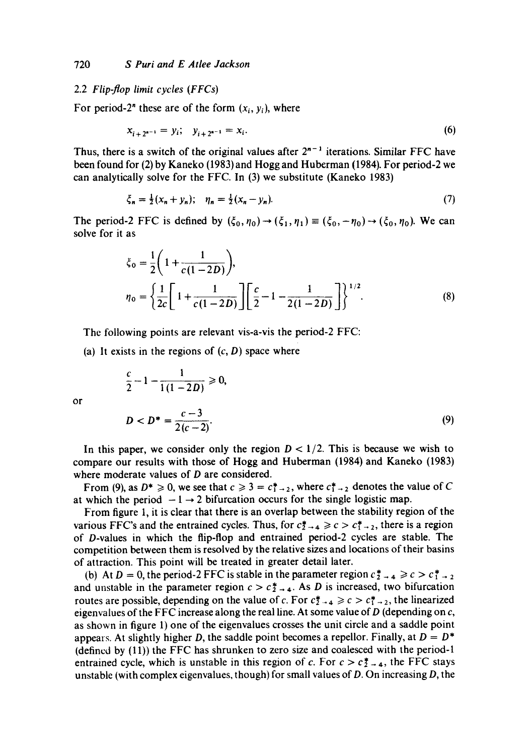### 2.2 *Flip-flop limit cycles (FFCs)*

For period-2" these are of the form  $(x_i, y_i)$ , where

$$
x_{i+2^{n-1}} = y_i; \quad y_{i+2^{n-1}} = x_i. \tag{6}
$$

Thus, there is a switch of the original values after  $2^{n-1}$  iterations. Similar FFC have been found for (2) by Kaneko (1983) and Hogg and Huberman (1984). For period-2 we can analytically solve for the FFC. In (3) we substitute (Kaneko 1983)

$$
\xi_n = \frac{1}{2}(x_n + y_n); \quad \eta_n = \frac{1}{2}(x_n - y_n). \tag{7}
$$

The period-2 FFC is defined by  $(\xi_0, \eta_0) \rightarrow (\xi_1, \eta_1) \equiv (\xi_0, -\eta_0) \rightarrow (\xi_0, \eta_0)$ . We can solve for it as

$$
\xi_0 = \frac{1}{2} \left( 1 + \frac{1}{c(1 - 2D)} \right),
$$
  
\n
$$
\eta_0 = \left\{ \frac{1}{2c} \left[ 1 + \frac{1}{c(1 - 2D)} \right] \left[ \frac{c}{2} - 1 - \frac{1}{2(1 - 2D)} \right] \right\}^{1/2}.
$$
 (8)

The following points are relevant vis-a-vis the period-2 FFC:

(a) It exists in the regions of  $(c, D)$  space where

$$
\frac{c}{2} - 1 - \frac{1}{1(1 - 2D)} \ge 0,
$$
  

$$
D < D^* = \frac{c - 3}{2(c - 2)}.
$$
 (9)

In this paper, we consider only the region  $D < 1/2$ . This is because we wish to compare our results with those of Hogg and Huberman (1984) and Kaneko (1983) where moderate values of *D* are considered.

From (9), as  $D^* \ge 0$ , we see that  $c \ge 3 = c_{1}^* - 2$ , where  $c_{1}^* - 2$  denotes the value of C at which the period  $-1 \rightarrow 2$  bifurcation occurs for the single logistic map.

From figure 1, it is clear that there is an overlap between the stability region of the various FFC's and the entrained cycles. Thus, for  $c_{2\rightarrow 4}^* \ge c > c_{1\rightarrow 2}^*$ , there is a region of D-values in which the flip-flop and entrained period-2 cycles are stable. The competition between them is resolved by the relative sizes and locations of their basins of attraction. This point will be treated in greater detail later.

(b) At D = 0, the period-2 FFC is stable in the parameter region  $c_{2}^{*} \rightarrow 4 \ge c > c_{1}^{*} \rightarrow 2$ and unstable in the parameter region  $c > c_{2}^{*} \rightarrow 4$ . As D is increased, two bifurcation routes are possible, depending on the value of c. For  $c_{\frac{1}{2}} \rightarrow c > c_{\frac{1}{2}} \rightarrow c$ , the linearized eigenvalues of the FFC increase along the real line. At some value of  $D$  (depending on  $c$ , as shown in figure 1) one of the eigenvalues crosses the unit circle and a saddle point appears. At slightly higher D, the saddle point becomes a repellor. Finally, at  $D = D^*$ (defined by (11)) the FFC has shrunken to zero size and coalesced with the period-1 entrained cycle, which is unstable in this region of c. For  $c > c_{2-4}^*$ , the FFC stays unstable (with complex eigenvalues, though) for small values of  $D$ . On increasing  $D$ , the

or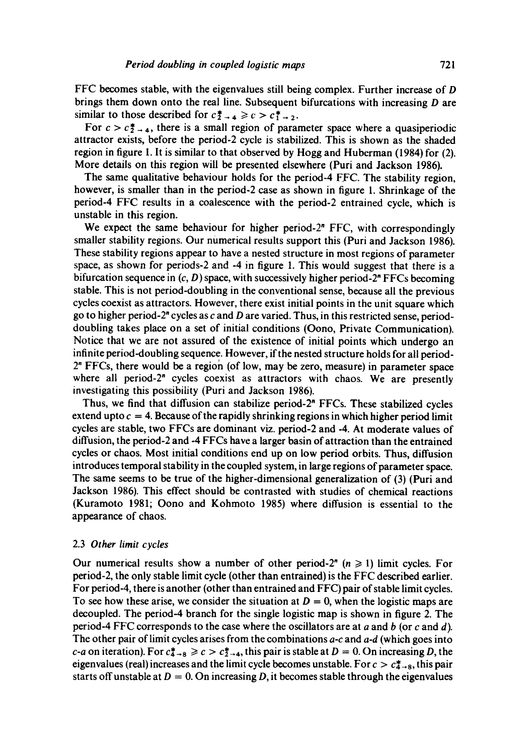FFC becomes stable, with the eigenvalues still being complex. Further increase of D brings them down onto the real line. Subsequent bifurcations with increasing D are similar to those described for  $c_{2\rightarrow 4}^* \geq c > c_{1\rightarrow 2}^*$ .

For  $c > c\frac{1}{2}$ , there is a small region of parameter space where a quasiperiodic attractor exists, before the period-2 cycle is stabilized. This is shown as the shaded region in figure 1. It is similar to that observed by Hogg and Huberman (1984) for (2). More details on this region will be presented elsewhere (Puri and Jackson 1986).

The same qualitative behaviour holds for the period-4 FFC. The stability region, however, is smaller than in the period-2 case as shown in figure I. Shrinkage of the period-4 FFC results in a coalescence with the period-2 entrained cycle, which is unstable in this region.

We expect the same behaviour for higher period-2<sup>n</sup> FFC, with correspondingly smaller stability regions. Our numerical results support this (Puri and Jackson 1986). These stability regions appear to have a nested structure in most regions of parameter space, as shown for periods-2 and -4 in figure 1. This would suggest that there is a bifurcation sequence in  $(c, D)$  space, with successively higher period-2" FFCs becoming stable. This is not period-doubling in the conventional sense, because all the previous cycles coexist as attractors. However, there exist initial points in the unit square which go to higher period- $2^n$  cycles as c and D are varied. Thus, in this restricted sense, perioddoubling takes place on a set of initial conditions (Oono, Private Communication). Notice that we are not assured of the existence of initial points which undergo an infinite period-doubling sequence. However, if the nested structure holds for all period- $2<sup>n</sup>$  FFCs, there would be a region (of low, may be zero, measure) in parameter space where all period-2<sup>n</sup> cycles coexist as attractors with chaos. We are presently investigating this possibility (Puri and Jackson 1986).

Thus, we find that diffusion can stabilize period-2" FFCs. These stabilized cycles extend upto  $c = 4$ . Because of the rapidly shrinking regions in which higher period limit cycles are stable, two FFCs are dominant viz. period-2 and -4. At moderate values of diffusion, the period-2 and -4 FFCs have a larger basin of attraction than the entrained cycles or chaos. Most initial conditions end up on low period orbits. Thus, diffusion introduces temporal stability in the coupled system, in large regions of parameter space. The same seems to be true of the higher-dimensional generalization of (3) (Puri and Jackson 1986). This effect should be contrasted with studies of chemical reactions (Kuramoto 1981; Oono and Kohmoto 1985) where diffusion is essential to the appearance of chaos.

### 2.3 *Other limit cycles*

Our numerical results show a number of other period-2" ( $n \ge 1$ ) limit cycles. For period-2, the only stable limit cycle (other than entrained) is the FFC described earlier. For period-4, there is another (other than entrained and FFC) pair of stable limit cycles. To see how these arise, we consider the situation at  $D = 0$ , when the logistic maps are decoupled. The period-4 branch for the single logistic map is shown in figure 2. The period-4 FFC corresponds to the case where the oscillators are at a and b (or c and d). The other pair of limit cycles arises from the combinations *a-c* and *a-d* (which goes into *c*-*a* on iteration). For  $c_{4\to 8}^* \ge c > c_{2\to 4}^*$ , this pair is stable at  $D = 0$ . On increasing D, the eigenvalues (real) increases and the limit cycle becomes unstable. For  $c > c_{4-8}^*$ , this pair starts off unstable at  $D = 0$ . On increasing D, it becomes stable through the eigenvalues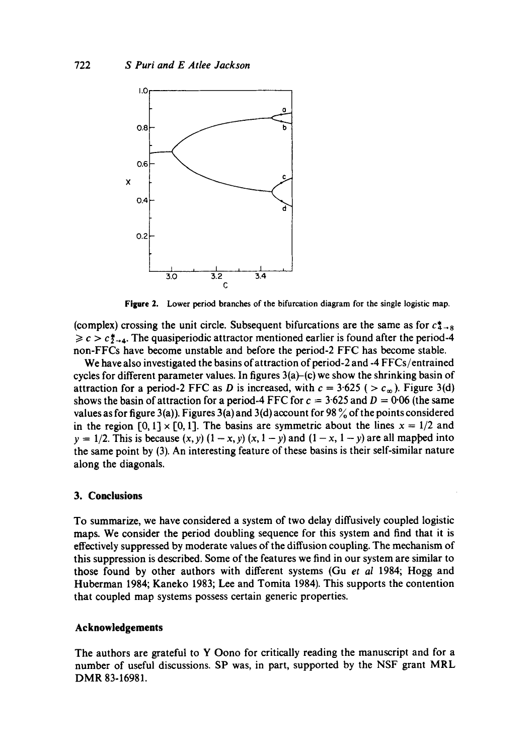

**Figure** 2. Lower period branches of the bifurcation diagram for the single logistic map.

(complex) crossing the unit circle. Subsequent bifurcations are the same as for  $c_{4-8}$  $\geq c > c \frac{4}{2}$ . The quasiperiodic attractor mentioned earlier is found after the period-4 non-FFCs have become unstable and before the period-2 FFC has become stable.

We have also investigated the basins of attraction of period-2 and -4 FFCs/entrained cycles for different parameter values. In figures  $3(a)$ –(c) we show the shrinking basin of attraction for a period-2 FFC as D is increased, with  $c = 3.625$  ( $>c_{\infty}$ ). Figure 3(d) shows the basin of attraction for a period-4 FFC for  $c = 3.625$  and  $D = 0.06$  (the same values as for figure 3(a)). Figures 3(a) and 3(d) account for 98  $\%$  of the points considered in the region  $[0, 1] \times [0, 1]$ . The basins are symmetric about the lines  $x = 1/2$  and  $y = 1/2$ . This is because  $(x, y) (1 - x, y) (x, 1 - y)$  and  $(1 - x, 1 - y)$  are all mapped into the same point by (3). An interesting feature of these basins is their self-similar nature along the diagonals.

### **3. Conclusions**

To summarize, we have considered a system of two delay diffusively coupled logistic maps. We consider the period doubling sequence for this system and find that it is effectively suppressed by moderate values of the diffusion coupling. The mechanism of this suppression is described. Some of the features we find in our system are similar to those found by other authors with different systems (Gu *et al* 1984; Hogg and Huberman 1984; Kaneko 1983; Lee and Tomita 1984). This supports the contention that coupled map systems possess certain generic properties.

#### **Acknowledgements**

The authors are grateful to Y Oono for critically reading the manuscript and for a number of useful discussions. SP was, in part, supported by the NSF grant MRL DMR 83-16981.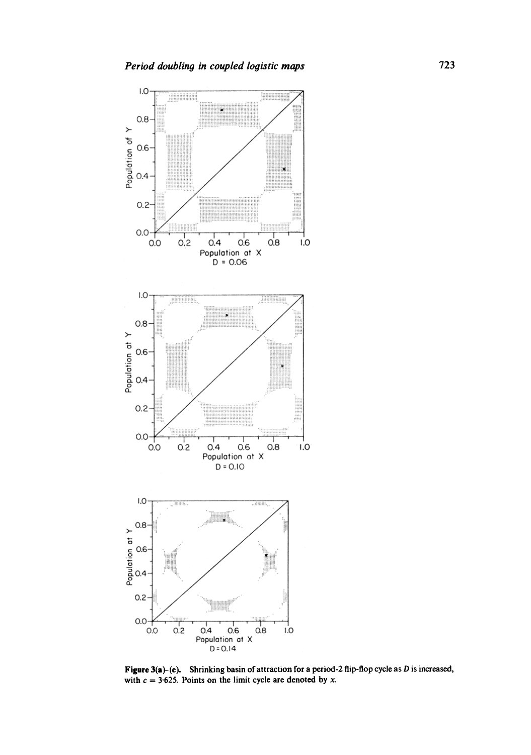

Figure 3(a)-(c). Shrinking basin of attraction for a period-2 flip-flop cycle as D is increased, with  $c = 3.625$ . Points on the limit cycle are denoted by x.